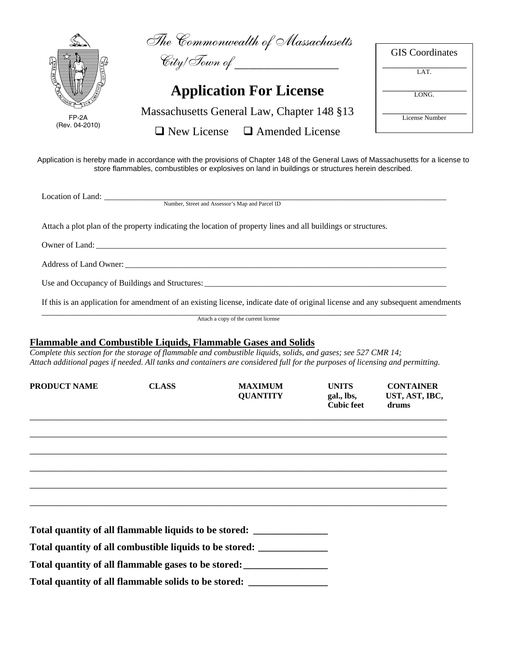|                         |                    | The Commonwealth of Massachusetts<br>City/Town of ______________                                                                                                                                                                                                                                                        |                                                 | <b>GIS</b> Coordinates                      |
|-------------------------|--------------------|-------------------------------------------------------------------------------------------------------------------------------------------------------------------------------------------------------------------------------------------------------------------------------------------------------------------------|-------------------------------------------------|---------------------------------------------|
| FASE RELATED            |                    |                                                                                                                                                                                                                                                                                                                         |                                                 | LAT.                                        |
|                         |                    | <b>Application For License</b>                                                                                                                                                                                                                                                                                          |                                                 | LONG.                                       |
| FP-2A<br>(Rev. 04-2010) |                    | Massachusetts General Law, Chapter 148 §13                                                                                                                                                                                                                                                                              |                                                 | License Number                              |
|                         | $\Box$ New License | $\Box$ Amended License                                                                                                                                                                                                                                                                                                  |                                                 |                                             |
|                         |                    | Application is hereby made in accordance with the provisions of Chapter 148 of the General Laws of Massachusetts for a license to<br>store flammables, combustibles or explosives on land in buildings or structures herein described.                                                                                  |                                                 |                                             |
|                         |                    | Number, Street and Assessor's Map and Parcel ID                                                                                                                                                                                                                                                                         |                                                 |                                             |
|                         |                    |                                                                                                                                                                                                                                                                                                                         |                                                 |                                             |
|                         |                    | Attach a plot plan of the property indicating the location of property lines and all buildings or structures.                                                                                                                                                                                                           |                                                 |                                             |
|                         |                    |                                                                                                                                                                                                                                                                                                                         |                                                 |                                             |
|                         |                    |                                                                                                                                                                                                                                                                                                                         |                                                 |                                             |
|                         |                    |                                                                                                                                                                                                                                                                                                                         |                                                 |                                             |
|                         |                    |                                                                                                                                                                                                                                                                                                                         |                                                 |                                             |
|                         |                    | If this is an application for amendment of an existing license, indicate date of original license and any subsequent amendments                                                                                                                                                                                         |                                                 |                                             |
|                         |                    | Attach a copy of the current license                                                                                                                                                                                                                                                                                    |                                                 |                                             |
|                         |                    | <b>Flammable and Combustible Liquids, Flammable Gases and Solids</b><br>Complete this section for the storage of flammable and combustible liquids, solids, and gases; see 527 CMR 14;<br>Attach additional pages if needed. All tanks and containers are considered full for the purposes of licensing and permitting. |                                                 |                                             |
|                         | <b>CLASS</b>       | <b>MAXIMUM</b><br>QUANTITY                                                                                                                                                                                                                                                                                              | <b>UNITS</b><br>gal., lbs,<br><b>Cubic feet</b> | <b>CONTAINER</b><br>UST, AST, IBC,<br>drums |
|                         |                    |                                                                                                                                                                                                                                                                                                                         |                                                 |                                             |
|                         |                    |                                                                                                                                                                                                                                                                                                                         |                                                 |                                             |
|                         |                    |                                                                                                                                                                                                                                                                                                                         |                                                 |                                             |
|                         |                    |                                                                                                                                                                                                                                                                                                                         |                                                 |                                             |
|                         |                    |                                                                                                                                                                                                                                                                                                                         |                                                 |                                             |
|                         |                    | Total quantity of all flammable liquids to be stored: ___________________________                                                                                                                                                                                                                                       |                                                 |                                             |
| <b>PRODUCT NAME</b>     |                    | Total quantity of all combustible liquids to be stored: ________________________<br>Total quantity of all flammable gases to be stored: _____________________________                                                                                                                                                   |                                                 |                                             |